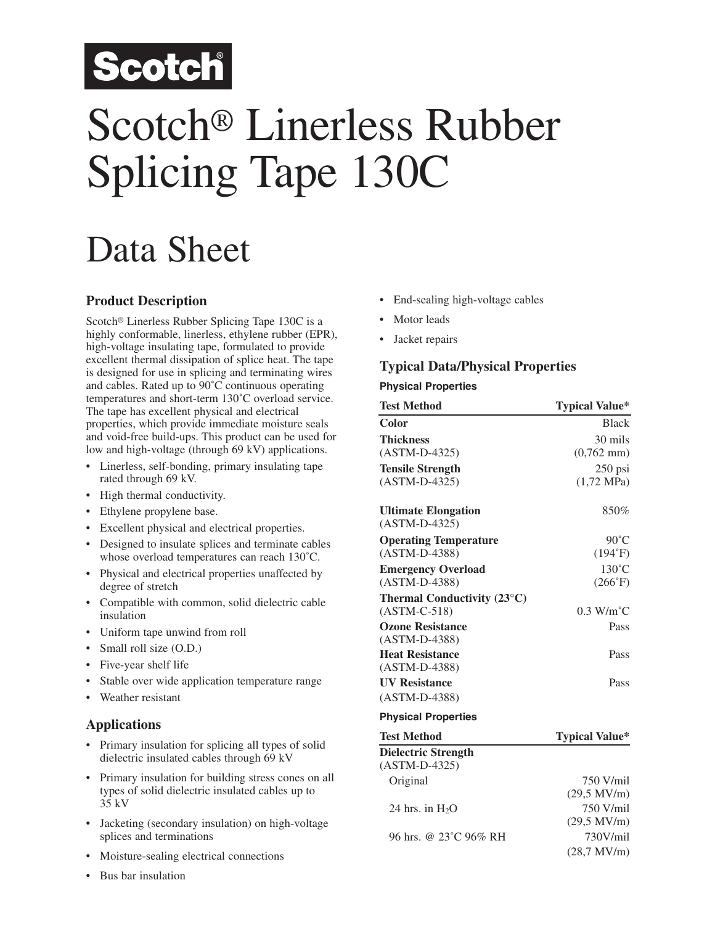## Scotch

# Scotch® Linerless Rubber Splicing Tape 130C

## Data Sheet

#### **Product Description**

Scotch® Linerless Rubber Splicing Tape 130C is a highly conformable, linerless, ethylene rubber (EPR), high-voltage insulating tape, formulated to provide excellent thermal dissipation of splice heat. The tape is designed for use in splicing and terminating wires and cables. Rated up to 90˚C continuous operating temperatures and short-term 130˚C overload service. The tape has excellent physical and electrical properties, which provide immediate moisture seals and void-free build-ups. This product can be used for low and high-voltage (through 69 kV) applications.

- Linerless, self-bonding, primary insulating tape rated through 69 kV.
- High thermal conductivity.
- Ethylene propylene base.
- Excellent physical and electrical properties.
- Designed to insulate splices and terminate cables whose overload temperatures can reach 130˚C.
- Physical and electrical properties unaffected by degree of stretch
- Compatible with common, solid dielectric cable insulation
- Uniform tape unwind from roll
- Small roll size (O.D.)
- Five-year shelf life
- Stable over wide application temperature range
- Weather resistant

#### **Applications**

- Primary insulation for splicing all types of solid dielectric insulated cables through 69 kV
- Primary insulation for building stress cones on all types of solid dielectric insulated cables up to 35 kV
- Jacketing (secondary insulation) on high-voltage splices and terminations
- Moisture-sealing electrical connections
- Bus bar insulation
- End-sealing high-voltage cables
- Motor leads
- Jacket repairs

### **Typical Data/Physical Properties**

#### **Physical Properties**

| <b>Test Method</b>                                     | <b>Typical Value*</b>     |
|--------------------------------------------------------|---------------------------|
| Color                                                  | <b>Black</b>              |
| <b>Thickness</b>                                       | 30 mils                   |
| $(ASTM-D-4325)$                                        | $(0,762 \text{ mm})$      |
| <b>Tensile Strength</b>                                | $250$ psi                 |
| $(ASTM-D-4325)$                                        | $(1,72 \text{ MPa})$      |
| <b>Ultimate Elongation</b><br>$(ASTM-D-4325)$          | 850%                      |
|                                                        |                           |
| <b>Operating Temperature</b><br>$(ASTM-D-4388)$        | $90^{\circ}$ C<br>(194°F) |
|                                                        | $130^{\circ}$ C           |
| <b>Emergency Overload</b><br>$(ASTM-D-4388)$           | (266°F)                   |
|                                                        |                           |
| Thermal Conductivity $(23^{\circ}C)$<br>$(ASTM-C-518)$ | $0.3$ W/m <sup>o</sup> C  |
| <b>Ozone Resistance</b>                                | Pass                      |
| $(ASTM-D-4388)$                                        |                           |
| <b>Heat Resistance</b>                                 | Pass                      |
| $(ASTM-D-4388)$                                        |                           |
| <b>UV Resistance</b>                                   | Pass                      |
| $(ASTM-D-4388)$                                        |                           |
| <b>Physical Properties</b>                             |                           |
| <b>Test Method</b>                                     | <b>Typical Value*</b>     |
| <b>Dielectric Strength</b>                             |                           |
| $(ASTM-D-4325)$                                        |                           |
| Original                                               | 750 V/mil<br>(20.735)     |
|                                                        |                           |

|                                    | $(29.5 \text{ MV/m})$ |
|------------------------------------|-----------------------|
| 24 hrs. in $H_2O$                  | 750 V/mil             |
|                                    | $(29.5 \text{ MV/m})$ |
| 96 hrs. @ 23 <sup>°</sup> C 96% RH | 730V/mil              |
|                                    | $(28.7 \text{ MV/m})$ |